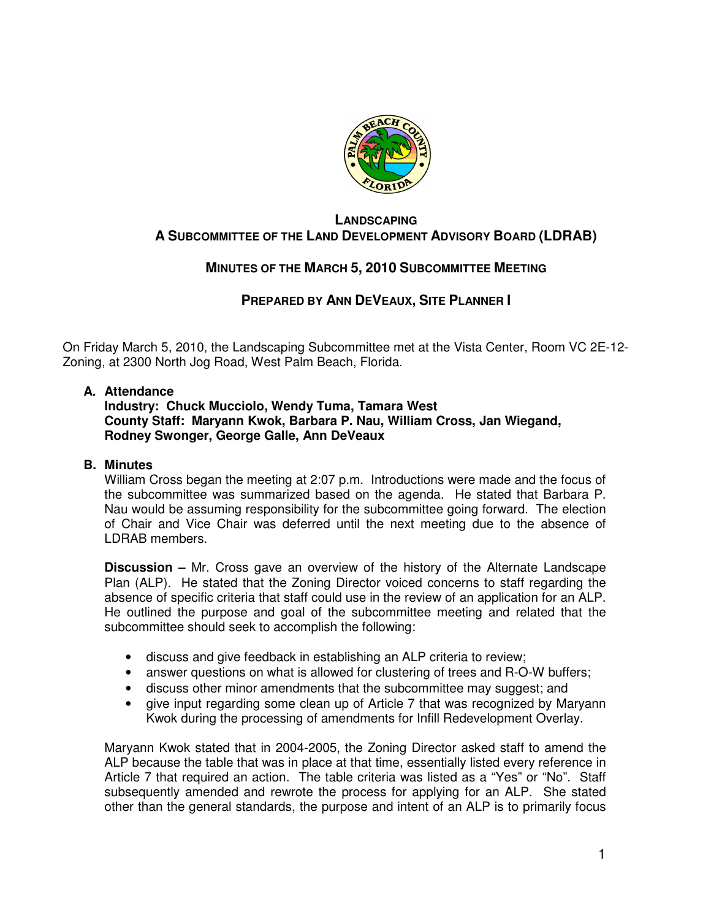

### **LANDSCAPING A SUBCOMMITTEE OF THE LAND DEVELOPMENT ADVISORY BOARD (LDRAB)**

# **MINUTES OF THE MARCH 5, 2010 SUBCOMMITTEE MEETING**

# **PREPARED BY ANN DEVEAUX, SITE PLANNER I**

On Friday March 5, 2010, the Landscaping Subcommittee met at the Vista Center, Room VC 2E-12- Zoning, at 2300 North Jog Road, West Palm Beach, Florida.

#### **A. Attendance**

#### **Industry: Chuck Mucciolo, Wendy Tuma, Tamara West County Staff: Maryann Kwok, Barbara P. Nau, William Cross, Jan Wiegand, Rodney Swonger, George Galle, Ann DeVeaux**

### **B. Minutes**

William Cross began the meeting at 2:07 p.m. Introductions were made and the focus of the subcommittee was summarized based on the agenda. He stated that Barbara P. Nau would be assuming responsibility for the subcommittee going forward. The election of Chair and Vice Chair was deferred until the next meeting due to the absence of LDRAB members.

**Discussion –** Mr. Cross gave an overview of the history of the Alternate Landscape Plan (ALP). He stated that the Zoning Director voiced concerns to staff regarding the absence of specific criteria that staff could use in the review of an application for an ALP. He outlined the purpose and goal of the subcommittee meeting and related that the subcommittee should seek to accomplish the following:

- discuss and give feedback in establishing an ALP criteria to review;
- answer questions on what is allowed for clustering of trees and R-O-W buffers;
- discuss other minor amendments that the subcommittee may suggest; and
- give input regarding some clean up of Article 7 that was recognized by Maryann Kwok during the processing of amendments for Infill Redevelopment Overlay.

Maryann Kwok stated that in 2004-2005, the Zoning Director asked staff to amend the ALP because the table that was in place at that time, essentially listed every reference in Article 7 that required an action. The table criteria was listed as a "Yes" or "No". Staff subsequently amended and rewrote the process for applying for an ALP. She stated other than the general standards, the purpose and intent of an ALP is to primarily focus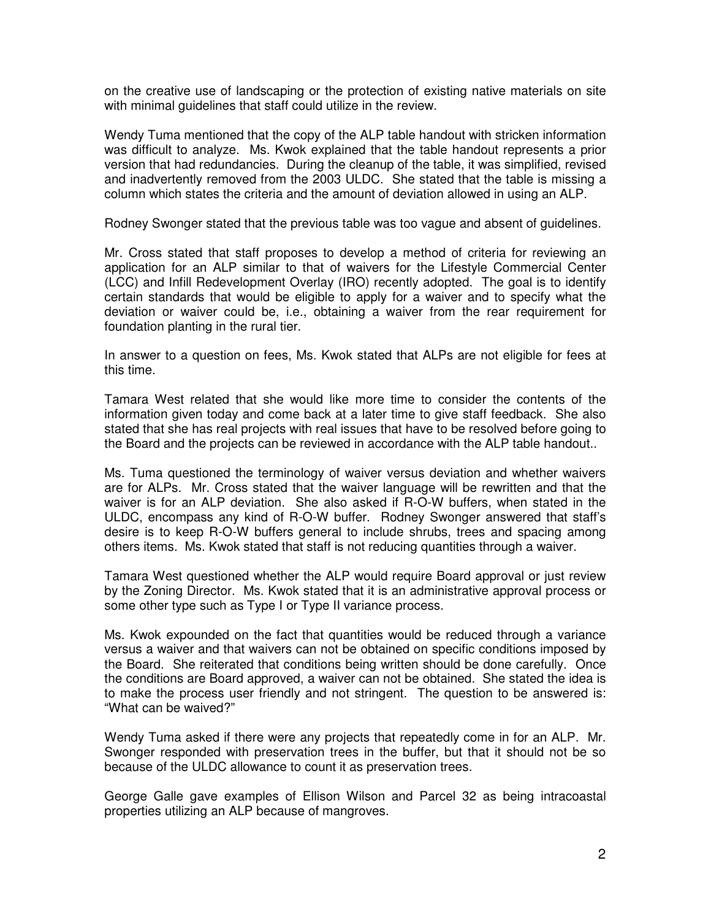on the creative use of landscaping or the protection of existing native materials on site with minimal guidelines that staff could utilize in the review.

Wendy Tuma mentioned that the copy of the ALP table handout with stricken information was difficult to analyze. Ms. Kwok explained that the table handout represents a prior version that had redundancies. During the cleanup of the table, it was simplified, revised and inadvertently removed from the 2003 ULDC. She stated that the table is missing a column which states the criteria and the amount of deviation allowed in using an ALP.

Rodney Swonger stated that the previous table was too vague and absent of guidelines.

Mr. Cross stated that staff proposes to develop a method of criteria for reviewing an application for an ALP similar to that of waivers for the Lifestyle Commercial Center (LCC) and Infill Redevelopment Overlay (IRO) recently adopted. The goal is to identify certain standards that would be eligible to apply for a waiver and to specify what the deviation or waiver could be, i.e., obtaining a waiver from the rear requirement for foundation planting in the rural tier.

In answer to a question on fees, Ms. Kwok stated that ALPs are not eligible for fees at this time.

Tamara West related that she would like more time to consider the contents of the information given today and come back at a later time to give staff feedback. She also stated that she has real projects with real issues that have to be resolved before going to the Board and the projects can be reviewed in accordance with the ALP table handout..

Ms. Tuma questioned the terminology of waiver versus deviation and whether waivers are for ALPs. Mr. Cross stated that the waiver language will be rewritten and that the waiver is for an ALP deviation. She also asked if R-O-W buffers, when stated in the ULDC, encompass any kind of R-O-W buffer. Rodney Swonger answered that staff's desire is to keep R-O-W buffers general to include shrubs, trees and spacing among others items. Ms. Kwok stated that staff is not reducing quantities through a waiver.

Tamara West questioned whether the ALP would require Board approval or just review by the Zoning Director. Ms. Kwok stated that it is an administrative approval process or some other type such as Type I or Type II variance process.

Ms. Kwok expounded on the fact that quantities would be reduced through a variance versus a waiver and that waivers can not be obtained on specific conditions imposed by the Board. She reiterated that conditions being written should be done carefully. Once the conditions are Board approved, a waiver can not be obtained. She stated the idea is to make the process user friendly and not stringent. The question to be answered is: "What can be waived?"

Wendy Tuma asked if there were any projects that repeatedly come in for an ALP. Mr. Swonger responded with preservation trees in the buffer, but that it should not be so because of the ULDC allowance to count it as preservation trees.

George Galle gave examples of Ellison Wilson and Parcel 32 as being intracoastal properties utilizing an ALP because of mangroves.